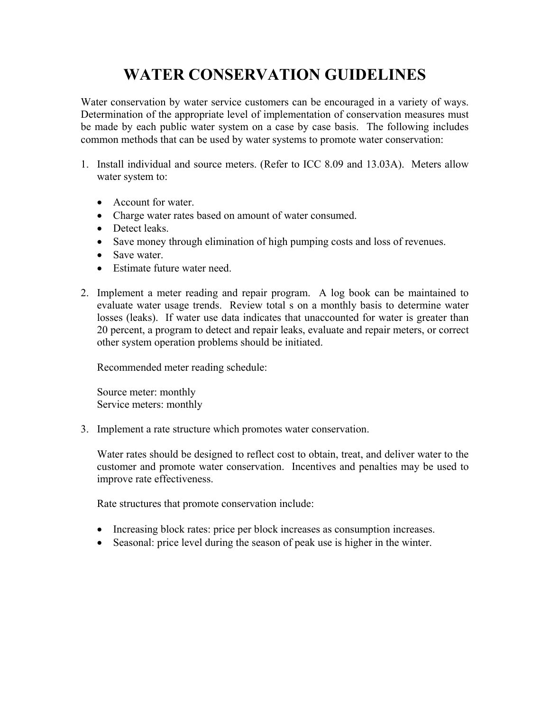## **WATER CONSERVATION GUIDELINES**

Water conservation by water service customers can be encouraged in a variety of ways. Determination of the appropriate level of implementation of conservation measures must be made by each public water system on a case by case basis. The following includes common methods that can be used by water systems to promote water conservation:

- 1. Install individual and source meters. (Refer to ICC 8.09 and 13.03A). Meters allow water system to:
	- Account for water.
	- Charge water rates based on amount of water consumed.
	- Detect leaks.
	- Save money through elimination of high pumping costs and loss of revenues.
	- Save water.
	- Estimate future water need.
- 2. Implement a meter reading and repair program. A log book can be maintained to evaluate water usage trends. Review total s on a monthly basis to determine water losses (leaks). If water use data indicates that unaccounted for water is greater than 20 percent, a program to detect and repair leaks, evaluate and repair meters, or correct other system operation problems should be initiated.

Recommended meter reading schedule:

Source meter: monthly Service meters: monthly

3. Implement a rate structure which promotes water conservation.

Water rates should be designed to reflect cost to obtain, treat, and deliver water to the customer and promote water conservation. Incentives and penalties may be used to improve rate effectiveness.

Rate structures that promote conservation include:

- Increasing block rates: price per block increases as consumption increases.
- Seasonal: price level during the season of peak use is higher in the winter.